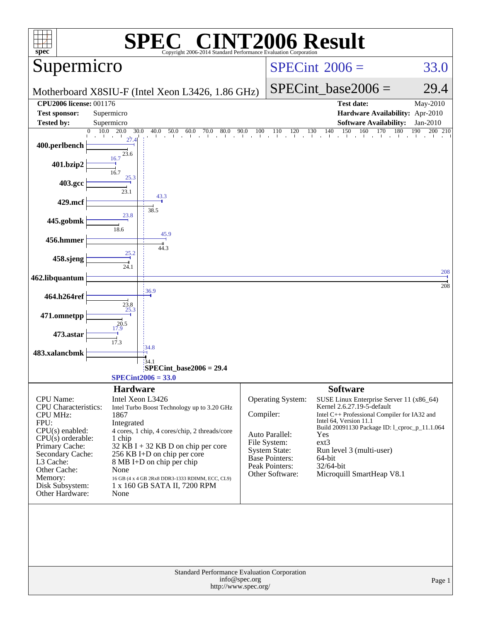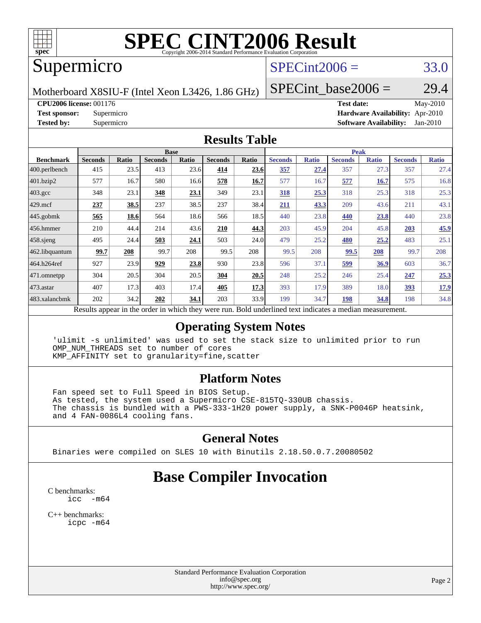

# **[SPEC CINT2006 Result](http://www.spec.org/auto/cpu2006/Docs/result-fields.html#SPECCINT2006Result)**

# Supermicro

## $SPECint2006 = 33.0$  $SPECint2006 = 33.0$

Motherboard X8SIU-F (Intel Xeon L3426, 1.86 GHz)

SPECint base2006 =  $29.4$ 

**[CPU2006 license:](http://www.spec.org/auto/cpu2006/Docs/result-fields.html#CPU2006license)** 001176 **[Test date:](http://www.spec.org/auto/cpu2006/Docs/result-fields.html#Testdate)** May-2010 **[Test sponsor:](http://www.spec.org/auto/cpu2006/Docs/result-fields.html#Testsponsor)** Supermicro **[Hardware Availability:](http://www.spec.org/auto/cpu2006/Docs/result-fields.html#HardwareAvailability)** Apr-2010 **[Tested by:](http://www.spec.org/auto/cpu2006/Docs/result-fields.html#Testedby)** Supermicro **[Software Availability:](http://www.spec.org/auto/cpu2006/Docs/result-fields.html#SoftwareAvailability)** Jan-2010

#### **[Results Table](http://www.spec.org/auto/cpu2006/Docs/result-fields.html#ResultsTable)**

|                    |                                                    |              |                | <b>Base</b> |                |       |                                                     |              |                | <b>Peak</b>  |                |              |
|--------------------|----------------------------------------------------|--------------|----------------|-------------|----------------|-------|-----------------------------------------------------|--------------|----------------|--------------|----------------|--------------|
| <b>Benchmark</b>   | <b>Seconds</b>                                     | <b>Ratio</b> | <b>Seconds</b> | Ratio       | <b>Seconds</b> | Ratio | <b>Seconds</b>                                      | <b>Ratio</b> | <b>Seconds</b> | <b>Ratio</b> | <b>Seconds</b> | <b>Ratio</b> |
| $ 400$ .perlbench  | 415                                                | 23.5         | 413            | 23.6        | 414            | 23.6  | 357                                                 | 27.4         | 357            | 27.3         | 357            | 27.4         |
| 401.bzip2          | 577                                                | 16.7         | 580            | 16.6        | 578            | 16.7  | 577                                                 | 16.7         | 577            | 16.7         | 575            | 16.8         |
| $403.\mathrm{gcc}$ | 348                                                | 23.1         | 348            | 23.1        | 349            | 23.1  | 318                                                 | 25.3         | 318            | 25.3         | 318            | 25.3         |
| $429$ mcf          | 237                                                | 38.5         | 237            | 38.5        | 237            | 38.4  | 211                                                 | 43.3         | 209            | 43.6         | 211            | 43.1         |
| $445$ .gobmk       | 565                                                | 18.6         | 564            | 18.6        | 566            | 18.5  | 440                                                 | 23.8         | 440            | 23.8         | 440            | 23.8         |
| $456.$ hmmer       | 210                                                | 44.4         | 214            | 43.6        | 210            | 44.3  | 203                                                 | 45.9         | 204            | 45.8         | 203            | 45.9         |
| $458$ .sjeng       | 495                                                | 24.4         | 503            | 24.1        | 503            | 24.0  | 479                                                 | 25.2         | 480            | 25.2         | 483            | 25.1         |
| 462.libquantum     | 99.7                                               | 208          | 99.7           | 208         | 99.5           | 208   | 99.5                                                | 208          | 99.5           | 208          | 99.7           | 208          |
| 464.h264ref        | 927                                                | 23.9         | 929            | 23.8        | 930            | 23.8  | 596                                                 | 37.1         | <u>599</u>     | <u>36.9</u>  | 603            | 36.7         |
| 471.omnetpp        | 304                                                | 20.5         | 304            | 20.5        | 304            | 20.5  | 248                                                 | 25.2         | 246            | 25.4         | 247            | 25.3         |
| $473$ . astar      | 407                                                | 17.3         | 403            | 17.4        | 405            | 17.3  | 393                                                 | 17.9         | 389            | 18.0         | 393            | <u>17.9</u>  |
| 483.xalancbmk      | 202                                                | 34.2         | 202            | 34.1        | 203            | 33.9  | 199                                                 | 34.7         | 198            | 34.8         | 198            | 34.8         |
|                    | Results appear in the order in which they were run |              |                |             |                |       | Rold underlined text indicates a median measurement |              |                |              |                |              |

esults appear in the [order in which they were run.](http://www.spec.org/auto/cpu2006/Docs/result-fields.html#RunOrder) Bold underlined text [indicates a median measurement.](http://www.spec.org/auto/cpu2006/Docs/result-fields.html#Median)

### **[Operating System Notes](http://www.spec.org/auto/cpu2006/Docs/result-fields.html#OperatingSystemNotes)**

 'ulimit -s unlimited' was used to set the stack size to unlimited prior to run OMP\_NUM\_THREADS set to number of cores KMP\_AFFINITY set to granularity=fine,scatter

### **[Platform Notes](http://www.spec.org/auto/cpu2006/Docs/result-fields.html#PlatformNotes)**

 Fan speed set to Full Speed in BIOS Setup. As tested, the system used a Supermicro CSE-815TQ-330UB chassis. The chassis is bundled with a PWS-333-1H20 power supply, a SNK-P0046P heatsink, and 4 FAN-0086L4 cooling fans.

### **[General Notes](http://www.spec.org/auto/cpu2006/Docs/result-fields.html#GeneralNotes)**

Binaries were compiled on SLES 10 with Binutils 2.18.50.0.7.20080502

# **[Base Compiler Invocation](http://www.spec.org/auto/cpu2006/Docs/result-fields.html#BaseCompilerInvocation)**

[C benchmarks](http://www.spec.org/auto/cpu2006/Docs/result-fields.html#Cbenchmarks):  $\text{icc}$   $-\text{m64}$ 

[C++ benchmarks:](http://www.spec.org/auto/cpu2006/Docs/result-fields.html#CXXbenchmarks) [icpc -m64](http://www.spec.org/cpu2006/results/res2010q3/cpu2006-20100608-11676.flags.html#user_CXXbase_intel_icpc_64bit_fc66a5337ce925472a5c54ad6a0de310)

> Standard Performance Evaluation Corporation [info@spec.org](mailto:info@spec.org) <http://www.spec.org/>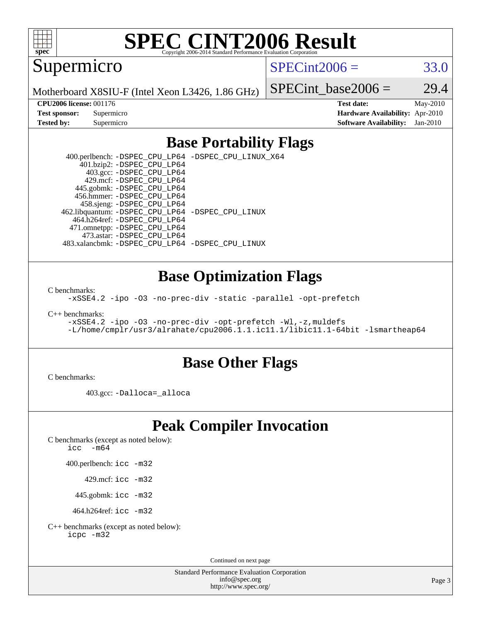

# **[SPEC CINT2006 Result](http://www.spec.org/auto/cpu2006/Docs/result-fields.html#SPECCINT2006Result)**

Supermicro

 $SPECint2006 = 33.0$  $SPECint2006 = 33.0$ 

Motherboard X8SIU-F (Intel Xeon L3426, 1.86 GHz)

SPECint base2006 =  $29.4$ 

**[CPU2006 license:](http://www.spec.org/auto/cpu2006/Docs/result-fields.html#CPU2006license)** 001176 **[Test date:](http://www.spec.org/auto/cpu2006/Docs/result-fields.html#Testdate)** May-2010 **[Test sponsor:](http://www.spec.org/auto/cpu2006/Docs/result-fields.html#Testsponsor)** Supermicro **[Hardware Availability:](http://www.spec.org/auto/cpu2006/Docs/result-fields.html#HardwareAvailability)** Apr-2010 **[Tested by:](http://www.spec.org/auto/cpu2006/Docs/result-fields.html#Testedby)** Supermicro **[Software Availability:](http://www.spec.org/auto/cpu2006/Docs/result-fields.html#SoftwareAvailability)** Jan-2010

### **[Base Portability Flags](http://www.spec.org/auto/cpu2006/Docs/result-fields.html#BasePortabilityFlags)**

 400.perlbench: [-DSPEC\\_CPU\\_LP64](http://www.spec.org/cpu2006/results/res2010q3/cpu2006-20100608-11676.flags.html#b400.perlbench_basePORTABILITY_DSPEC_CPU_LP64) [-DSPEC\\_CPU\\_LINUX\\_X64](http://www.spec.org/cpu2006/results/res2010q3/cpu2006-20100608-11676.flags.html#b400.perlbench_baseCPORTABILITY_DSPEC_CPU_LINUX_X64) 401.bzip2: [-DSPEC\\_CPU\\_LP64](http://www.spec.org/cpu2006/results/res2010q3/cpu2006-20100608-11676.flags.html#suite_basePORTABILITY401_bzip2_DSPEC_CPU_LP64) 403.gcc: [-DSPEC\\_CPU\\_LP64](http://www.spec.org/cpu2006/results/res2010q3/cpu2006-20100608-11676.flags.html#suite_basePORTABILITY403_gcc_DSPEC_CPU_LP64) 429.mcf: [-DSPEC\\_CPU\\_LP64](http://www.spec.org/cpu2006/results/res2010q3/cpu2006-20100608-11676.flags.html#suite_basePORTABILITY429_mcf_DSPEC_CPU_LP64) 445.gobmk: [-DSPEC\\_CPU\\_LP64](http://www.spec.org/cpu2006/results/res2010q3/cpu2006-20100608-11676.flags.html#suite_basePORTABILITY445_gobmk_DSPEC_CPU_LP64) 456.hmmer: [-DSPEC\\_CPU\\_LP64](http://www.spec.org/cpu2006/results/res2010q3/cpu2006-20100608-11676.flags.html#suite_basePORTABILITY456_hmmer_DSPEC_CPU_LP64) 458.sjeng: [-DSPEC\\_CPU\\_LP64](http://www.spec.org/cpu2006/results/res2010q3/cpu2006-20100608-11676.flags.html#suite_basePORTABILITY458_sjeng_DSPEC_CPU_LP64) 462.libquantum: [-DSPEC\\_CPU\\_LP64](http://www.spec.org/cpu2006/results/res2010q3/cpu2006-20100608-11676.flags.html#suite_basePORTABILITY462_libquantum_DSPEC_CPU_LP64) [-DSPEC\\_CPU\\_LINUX](http://www.spec.org/cpu2006/results/res2010q3/cpu2006-20100608-11676.flags.html#b462.libquantum_baseCPORTABILITY_DSPEC_CPU_LINUX) 464.h264ref: [-DSPEC\\_CPU\\_LP64](http://www.spec.org/cpu2006/results/res2010q3/cpu2006-20100608-11676.flags.html#suite_basePORTABILITY464_h264ref_DSPEC_CPU_LP64) 471.omnetpp: [-DSPEC\\_CPU\\_LP64](http://www.spec.org/cpu2006/results/res2010q3/cpu2006-20100608-11676.flags.html#suite_basePORTABILITY471_omnetpp_DSPEC_CPU_LP64) 473.astar: [-DSPEC\\_CPU\\_LP64](http://www.spec.org/cpu2006/results/res2010q3/cpu2006-20100608-11676.flags.html#suite_basePORTABILITY473_astar_DSPEC_CPU_LP64) 483.xalancbmk: [-DSPEC\\_CPU\\_LP64](http://www.spec.org/cpu2006/results/res2010q3/cpu2006-20100608-11676.flags.html#suite_basePORTABILITY483_xalancbmk_DSPEC_CPU_LP64) [-DSPEC\\_CPU\\_LINUX](http://www.spec.org/cpu2006/results/res2010q3/cpu2006-20100608-11676.flags.html#b483.xalancbmk_baseCXXPORTABILITY_DSPEC_CPU_LINUX)

### **[Base Optimization Flags](http://www.spec.org/auto/cpu2006/Docs/result-fields.html#BaseOptimizationFlags)**

[C benchmarks](http://www.spec.org/auto/cpu2006/Docs/result-fields.html#Cbenchmarks):

[-xSSE4.2](http://www.spec.org/cpu2006/results/res2010q3/cpu2006-20100608-11676.flags.html#user_CCbase_f-xSSE42_f91528193cf0b216347adb8b939d4107) [-ipo](http://www.spec.org/cpu2006/results/res2010q3/cpu2006-20100608-11676.flags.html#user_CCbase_f-ipo) [-O3](http://www.spec.org/cpu2006/results/res2010q3/cpu2006-20100608-11676.flags.html#user_CCbase_f-O3) [-no-prec-div](http://www.spec.org/cpu2006/results/res2010q3/cpu2006-20100608-11676.flags.html#user_CCbase_f-no-prec-div) [-static](http://www.spec.org/cpu2006/results/res2010q3/cpu2006-20100608-11676.flags.html#user_CCbase_f-static) [-parallel](http://www.spec.org/cpu2006/results/res2010q3/cpu2006-20100608-11676.flags.html#user_CCbase_f-parallel) [-opt-prefetch](http://www.spec.org/cpu2006/results/res2010q3/cpu2006-20100608-11676.flags.html#user_CCbase_f-opt-prefetch)

[C++ benchmarks:](http://www.spec.org/auto/cpu2006/Docs/result-fields.html#CXXbenchmarks)

```
-xSSE4.2 -ipo -O3 -no-prec-div -opt-prefetch -Wl,-z,muldefs
-L/home/cmplr/usr3/alrahate/cpu2006.1.1.ic11.1/libic11.1-64bit -lsmartheap64
```
### **[Base Other Flags](http://www.spec.org/auto/cpu2006/Docs/result-fields.html#BaseOtherFlags)**

[C benchmarks](http://www.spec.org/auto/cpu2006/Docs/result-fields.html#Cbenchmarks):

403.gcc: [-Dalloca=\\_alloca](http://www.spec.org/cpu2006/results/res2010q3/cpu2006-20100608-11676.flags.html#b403.gcc_baseEXTRA_CFLAGS_Dalloca_be3056838c12de2578596ca5467af7f3)

# **[Peak Compiler Invocation](http://www.spec.org/auto/cpu2006/Docs/result-fields.html#PeakCompilerInvocation)**

[C benchmarks \(except as noted below\)](http://www.spec.org/auto/cpu2006/Docs/result-fields.html#Cbenchmarksexceptasnotedbelow):

[icc -m64](http://www.spec.org/cpu2006/results/res2010q3/cpu2006-20100608-11676.flags.html#user_CCpeak_intel_icc_64bit_f346026e86af2a669e726fe758c88044)

400.perlbench: [icc -m32](http://www.spec.org/cpu2006/results/res2010q3/cpu2006-20100608-11676.flags.html#user_peakCCLD400_perlbench_intel_icc_32bit_a6a621f8d50482236b970c6ac5f55f93)

429.mcf: [icc -m32](http://www.spec.org/cpu2006/results/res2010q3/cpu2006-20100608-11676.flags.html#user_peakCCLD429_mcf_intel_icc_32bit_a6a621f8d50482236b970c6ac5f55f93)

445.gobmk: [icc -m32](http://www.spec.org/cpu2006/results/res2010q3/cpu2006-20100608-11676.flags.html#user_peakCCLD445_gobmk_intel_icc_32bit_a6a621f8d50482236b970c6ac5f55f93)

464.h264ref: [icc -m32](http://www.spec.org/cpu2006/results/res2010q3/cpu2006-20100608-11676.flags.html#user_peakCCLD464_h264ref_intel_icc_32bit_a6a621f8d50482236b970c6ac5f55f93)

[C++ benchmarks \(except as noted below\):](http://www.spec.org/auto/cpu2006/Docs/result-fields.html#CXXbenchmarksexceptasnotedbelow) [icpc -m32](http://www.spec.org/cpu2006/results/res2010q3/cpu2006-20100608-11676.flags.html#user_CXXpeak_intel_icpc_32bit_4e5a5ef1a53fd332b3c49e69c3330699)

Continued on next page

Standard Performance Evaluation Corporation [info@spec.org](mailto:info@spec.org) <http://www.spec.org/>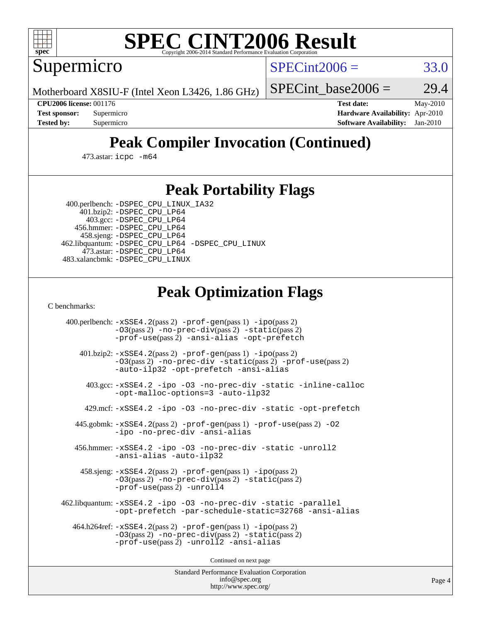

# **[SPEC CINT2006 Result](http://www.spec.org/auto/cpu2006/Docs/result-fields.html#SPECCINT2006Result)**

Supermicro

 $SPECint2006 = 33.0$  $SPECint2006 = 33.0$ 

Motherboard X8SIU-F (Intel Xeon L3426, 1.86 GHz)

SPECint base2006 =  $29.4$ 

**[CPU2006 license:](http://www.spec.org/auto/cpu2006/Docs/result-fields.html#CPU2006license)** 001176 **[Test date:](http://www.spec.org/auto/cpu2006/Docs/result-fields.html#Testdate)** May-2010 **[Test sponsor:](http://www.spec.org/auto/cpu2006/Docs/result-fields.html#Testsponsor)** Supermicro **[Hardware Availability:](http://www.spec.org/auto/cpu2006/Docs/result-fields.html#HardwareAvailability)** Apr-2010 **[Tested by:](http://www.spec.org/auto/cpu2006/Docs/result-fields.html#Testedby)** Supermicro **[Software Availability:](http://www.spec.org/auto/cpu2006/Docs/result-fields.html#SoftwareAvailability)** Jan-2010

# **[Peak Compiler Invocation \(Continued\)](http://www.spec.org/auto/cpu2006/Docs/result-fields.html#PeakCompilerInvocation)**

473.astar: [icpc -m64](http://www.spec.org/cpu2006/results/res2010q3/cpu2006-20100608-11676.flags.html#user_peakCXXLD473_astar_intel_icpc_64bit_fc66a5337ce925472a5c54ad6a0de310)

### **[Peak Portability Flags](http://www.spec.org/auto/cpu2006/Docs/result-fields.html#PeakPortabilityFlags)**

 400.perlbench: [-DSPEC\\_CPU\\_LINUX\\_IA32](http://www.spec.org/cpu2006/results/res2010q3/cpu2006-20100608-11676.flags.html#b400.perlbench_peakCPORTABILITY_DSPEC_CPU_LINUX_IA32) 401.bzip2: [-DSPEC\\_CPU\\_LP64](http://www.spec.org/cpu2006/results/res2010q3/cpu2006-20100608-11676.flags.html#suite_peakPORTABILITY401_bzip2_DSPEC_CPU_LP64)

 403.gcc: [-DSPEC\\_CPU\\_LP64](http://www.spec.org/cpu2006/results/res2010q3/cpu2006-20100608-11676.flags.html#suite_peakPORTABILITY403_gcc_DSPEC_CPU_LP64) 456.hmmer: [-DSPEC\\_CPU\\_LP64](http://www.spec.org/cpu2006/results/res2010q3/cpu2006-20100608-11676.flags.html#suite_peakPORTABILITY456_hmmer_DSPEC_CPU_LP64) 458.sjeng: [-DSPEC\\_CPU\\_LP64](http://www.spec.org/cpu2006/results/res2010q3/cpu2006-20100608-11676.flags.html#suite_peakPORTABILITY458_sjeng_DSPEC_CPU_LP64) 462.libquantum: [-DSPEC\\_CPU\\_LP64](http://www.spec.org/cpu2006/results/res2010q3/cpu2006-20100608-11676.flags.html#suite_peakPORTABILITY462_libquantum_DSPEC_CPU_LP64) [-DSPEC\\_CPU\\_LINUX](http://www.spec.org/cpu2006/results/res2010q3/cpu2006-20100608-11676.flags.html#b462.libquantum_peakCPORTABILITY_DSPEC_CPU_LINUX) 473.astar: [-DSPEC\\_CPU\\_LP64](http://www.spec.org/cpu2006/results/res2010q3/cpu2006-20100608-11676.flags.html#suite_peakPORTABILITY473_astar_DSPEC_CPU_LP64) 483.xalancbmk: [-DSPEC\\_CPU\\_LINUX](http://www.spec.org/cpu2006/results/res2010q3/cpu2006-20100608-11676.flags.html#b483.xalancbmk_peakCXXPORTABILITY_DSPEC_CPU_LINUX)

# **[Peak Optimization Flags](http://www.spec.org/auto/cpu2006/Docs/result-fields.html#PeakOptimizationFlags)**

[C benchmarks](http://www.spec.org/auto/cpu2006/Docs/result-fields.html#Cbenchmarks):

 400.perlbench: [-xSSE4.2](http://www.spec.org/cpu2006/results/res2010q3/cpu2006-20100608-11676.flags.html#user_peakPASS2_CFLAGSPASS2_LDCFLAGS400_perlbench_f-xSSE42_f91528193cf0b216347adb8b939d4107)(pass 2) [-prof-gen](http://www.spec.org/cpu2006/results/res2010q3/cpu2006-20100608-11676.flags.html#user_peakPASS1_CFLAGSPASS1_LDCFLAGS400_perlbench_prof_gen_e43856698f6ca7b7e442dfd80e94a8fc)(pass 1) [-ipo](http://www.spec.org/cpu2006/results/res2010q3/cpu2006-20100608-11676.flags.html#user_peakPASS2_CFLAGSPASS2_LDCFLAGS400_perlbench_f-ipo)(pass 2) [-O3](http://www.spec.org/cpu2006/results/res2010q3/cpu2006-20100608-11676.flags.html#user_peakPASS2_CFLAGSPASS2_LDCFLAGS400_perlbench_f-O3)(pass 2) [-no-prec-div](http://www.spec.org/cpu2006/results/res2010q3/cpu2006-20100608-11676.flags.html#user_peakPASS2_CFLAGSPASS2_LDCFLAGS400_perlbench_f-no-prec-div)(pass 2) [-static](http://www.spec.org/cpu2006/results/res2010q3/cpu2006-20100608-11676.flags.html#user_peakPASS2_CFLAGSPASS2_LDCFLAGS400_perlbench_f-static)(pass 2) [-prof-use](http://www.spec.org/cpu2006/results/res2010q3/cpu2006-20100608-11676.flags.html#user_peakPASS2_CFLAGSPASS2_LDCFLAGS400_perlbench_prof_use_bccf7792157ff70d64e32fe3e1250b55)(pass 2) [-ansi-alias](http://www.spec.org/cpu2006/results/res2010q3/cpu2006-20100608-11676.flags.html#user_peakCOPTIMIZE400_perlbench_f-ansi-alias) [-opt-prefetch](http://www.spec.org/cpu2006/results/res2010q3/cpu2006-20100608-11676.flags.html#user_peakCOPTIMIZE400_perlbench_f-opt-prefetch) 401.bzip2: [-xSSE4.2](http://www.spec.org/cpu2006/results/res2010q3/cpu2006-20100608-11676.flags.html#user_peakPASS2_CFLAGSPASS2_LDCFLAGS401_bzip2_f-xSSE42_f91528193cf0b216347adb8b939d4107)(pass 2) [-prof-gen](http://www.spec.org/cpu2006/results/res2010q3/cpu2006-20100608-11676.flags.html#user_peakPASS1_CFLAGSPASS1_LDCFLAGS401_bzip2_prof_gen_e43856698f6ca7b7e442dfd80e94a8fc)(pass 1) [-ipo](http://www.spec.org/cpu2006/results/res2010q3/cpu2006-20100608-11676.flags.html#user_peakPASS2_CFLAGSPASS2_LDCFLAGS401_bzip2_f-ipo)(pass 2) [-O3](http://www.spec.org/cpu2006/results/res2010q3/cpu2006-20100608-11676.flags.html#user_peakPASS2_CFLAGSPASS2_LDCFLAGS401_bzip2_f-O3)(pass 2) [-no-prec-div](http://www.spec.org/cpu2006/results/res2010q3/cpu2006-20100608-11676.flags.html#user_peakCOPTIMIZEPASS2_CFLAGSPASS2_LDCFLAGS401_bzip2_f-no-prec-div) [-static](http://www.spec.org/cpu2006/results/res2010q3/cpu2006-20100608-11676.flags.html#user_peakPASS2_CFLAGSPASS2_LDCFLAGS401_bzip2_f-static)(pass 2) [-prof-use](http://www.spec.org/cpu2006/results/res2010q3/cpu2006-20100608-11676.flags.html#user_peakPASS2_CFLAGSPASS2_LDCFLAGS401_bzip2_prof_use_bccf7792157ff70d64e32fe3e1250b55)(pass 2) [-auto-ilp32](http://www.spec.org/cpu2006/results/res2010q3/cpu2006-20100608-11676.flags.html#user_peakCOPTIMIZE401_bzip2_f-auto-ilp32) [-opt-prefetch](http://www.spec.org/cpu2006/results/res2010q3/cpu2006-20100608-11676.flags.html#user_peakCOPTIMIZE401_bzip2_f-opt-prefetch) [-ansi-alias](http://www.spec.org/cpu2006/results/res2010q3/cpu2006-20100608-11676.flags.html#user_peakCOPTIMIZE401_bzip2_f-ansi-alias) 403.gcc: [-xSSE4.2](http://www.spec.org/cpu2006/results/res2010q3/cpu2006-20100608-11676.flags.html#user_peakCOPTIMIZE403_gcc_f-xSSE42_f91528193cf0b216347adb8b939d4107) [-ipo](http://www.spec.org/cpu2006/results/res2010q3/cpu2006-20100608-11676.flags.html#user_peakCOPTIMIZE403_gcc_f-ipo) [-O3](http://www.spec.org/cpu2006/results/res2010q3/cpu2006-20100608-11676.flags.html#user_peakCOPTIMIZE403_gcc_f-O3) [-no-prec-div](http://www.spec.org/cpu2006/results/res2010q3/cpu2006-20100608-11676.flags.html#user_peakCOPTIMIZE403_gcc_f-no-prec-div) [-static](http://www.spec.org/cpu2006/results/res2010q3/cpu2006-20100608-11676.flags.html#user_peakCOPTIMIZE403_gcc_f-static) [-inline-calloc](http://www.spec.org/cpu2006/results/res2010q3/cpu2006-20100608-11676.flags.html#user_peakCOPTIMIZE403_gcc_f-inline-calloc) [-opt-malloc-options=3](http://www.spec.org/cpu2006/results/res2010q3/cpu2006-20100608-11676.flags.html#user_peakCOPTIMIZE403_gcc_f-opt-malloc-options_13ab9b803cf986b4ee62f0a5998c2238) [-auto-ilp32](http://www.spec.org/cpu2006/results/res2010q3/cpu2006-20100608-11676.flags.html#user_peakCOPTIMIZE403_gcc_f-auto-ilp32) 429.mcf: [-xSSE4.2](http://www.spec.org/cpu2006/results/res2010q3/cpu2006-20100608-11676.flags.html#user_peakCOPTIMIZE429_mcf_f-xSSE42_f91528193cf0b216347adb8b939d4107) [-ipo](http://www.spec.org/cpu2006/results/res2010q3/cpu2006-20100608-11676.flags.html#user_peakCOPTIMIZE429_mcf_f-ipo) [-O3](http://www.spec.org/cpu2006/results/res2010q3/cpu2006-20100608-11676.flags.html#user_peakCOPTIMIZE429_mcf_f-O3) [-no-prec-div](http://www.spec.org/cpu2006/results/res2010q3/cpu2006-20100608-11676.flags.html#user_peakCOPTIMIZE429_mcf_f-no-prec-div) [-static](http://www.spec.org/cpu2006/results/res2010q3/cpu2006-20100608-11676.flags.html#user_peakCOPTIMIZE429_mcf_f-static) [-opt-prefetch](http://www.spec.org/cpu2006/results/res2010q3/cpu2006-20100608-11676.flags.html#user_peakCOPTIMIZE429_mcf_f-opt-prefetch) 445.gobmk: [-xSSE4.2](http://www.spec.org/cpu2006/results/res2010q3/cpu2006-20100608-11676.flags.html#user_peakPASS2_CFLAGSPASS2_LDCFLAGS445_gobmk_f-xSSE42_f91528193cf0b216347adb8b939d4107)(pass 2) [-prof-gen](http://www.spec.org/cpu2006/results/res2010q3/cpu2006-20100608-11676.flags.html#user_peakPASS1_CFLAGSPASS1_LDCFLAGS445_gobmk_prof_gen_e43856698f6ca7b7e442dfd80e94a8fc)(pass 1) [-prof-use](http://www.spec.org/cpu2006/results/res2010q3/cpu2006-20100608-11676.flags.html#user_peakPASS2_CFLAGSPASS2_LDCFLAGS445_gobmk_prof_use_bccf7792157ff70d64e32fe3e1250b55)(pass 2) [-O2](http://www.spec.org/cpu2006/results/res2010q3/cpu2006-20100608-11676.flags.html#user_peakCOPTIMIZE445_gobmk_f-O2) [-ipo](http://www.spec.org/cpu2006/results/res2010q3/cpu2006-20100608-11676.flags.html#user_peakCOPTIMIZE445_gobmk_f-ipo) [-no-prec-div](http://www.spec.org/cpu2006/results/res2010q3/cpu2006-20100608-11676.flags.html#user_peakCOPTIMIZE445_gobmk_f-no-prec-div) [-ansi-alias](http://www.spec.org/cpu2006/results/res2010q3/cpu2006-20100608-11676.flags.html#user_peakCOPTIMIZE445_gobmk_f-ansi-alias) 456.hmmer: [-xSSE4.2](http://www.spec.org/cpu2006/results/res2010q3/cpu2006-20100608-11676.flags.html#user_peakCOPTIMIZE456_hmmer_f-xSSE42_f91528193cf0b216347adb8b939d4107) [-ipo](http://www.spec.org/cpu2006/results/res2010q3/cpu2006-20100608-11676.flags.html#user_peakCOPTIMIZE456_hmmer_f-ipo) [-O3](http://www.spec.org/cpu2006/results/res2010q3/cpu2006-20100608-11676.flags.html#user_peakCOPTIMIZE456_hmmer_f-O3) [-no-prec-div](http://www.spec.org/cpu2006/results/res2010q3/cpu2006-20100608-11676.flags.html#user_peakCOPTIMIZE456_hmmer_f-no-prec-div) [-static](http://www.spec.org/cpu2006/results/res2010q3/cpu2006-20100608-11676.flags.html#user_peakCOPTIMIZE456_hmmer_f-static) [-unroll2](http://www.spec.org/cpu2006/results/res2010q3/cpu2006-20100608-11676.flags.html#user_peakCOPTIMIZE456_hmmer_f-unroll_784dae83bebfb236979b41d2422d7ec2) [-ansi-alias](http://www.spec.org/cpu2006/results/res2010q3/cpu2006-20100608-11676.flags.html#user_peakCOPTIMIZE456_hmmer_f-ansi-alias) [-auto-ilp32](http://www.spec.org/cpu2006/results/res2010q3/cpu2006-20100608-11676.flags.html#user_peakCOPTIMIZE456_hmmer_f-auto-ilp32) 458.sjeng: [-xSSE4.2](http://www.spec.org/cpu2006/results/res2010q3/cpu2006-20100608-11676.flags.html#user_peakPASS2_CFLAGSPASS2_LDCFLAGS458_sjeng_f-xSSE42_f91528193cf0b216347adb8b939d4107)(pass 2) [-prof-gen](http://www.spec.org/cpu2006/results/res2010q3/cpu2006-20100608-11676.flags.html#user_peakPASS1_CFLAGSPASS1_LDCFLAGS458_sjeng_prof_gen_e43856698f6ca7b7e442dfd80e94a8fc)(pass 1) [-ipo](http://www.spec.org/cpu2006/results/res2010q3/cpu2006-20100608-11676.flags.html#user_peakPASS2_CFLAGSPASS2_LDCFLAGS458_sjeng_f-ipo)(pass 2) [-O3](http://www.spec.org/cpu2006/results/res2010q3/cpu2006-20100608-11676.flags.html#user_peakPASS2_CFLAGSPASS2_LDCFLAGS458_sjeng_f-O3)(pass 2) [-no-prec-div](http://www.spec.org/cpu2006/results/res2010q3/cpu2006-20100608-11676.flags.html#user_peakPASS2_CFLAGSPASS2_LDCFLAGS458_sjeng_f-no-prec-div)(pass 2) [-static](http://www.spec.org/cpu2006/results/res2010q3/cpu2006-20100608-11676.flags.html#user_peakPASS2_CFLAGSPASS2_LDCFLAGS458_sjeng_f-static)(pass 2) [-prof-use](http://www.spec.org/cpu2006/results/res2010q3/cpu2006-20100608-11676.flags.html#user_peakPASS2_CFLAGSPASS2_LDCFLAGS458_sjeng_prof_use_bccf7792157ff70d64e32fe3e1250b55)(pass 2) [-unroll4](http://www.spec.org/cpu2006/results/res2010q3/cpu2006-20100608-11676.flags.html#user_peakCOPTIMIZE458_sjeng_f-unroll_4e5e4ed65b7fd20bdcd365bec371b81f) 462.libquantum: [-xSSE4.2](http://www.spec.org/cpu2006/results/res2010q3/cpu2006-20100608-11676.flags.html#user_peakCOPTIMIZE462_libquantum_f-xSSE42_f91528193cf0b216347adb8b939d4107) [-ipo](http://www.spec.org/cpu2006/results/res2010q3/cpu2006-20100608-11676.flags.html#user_peakCOPTIMIZE462_libquantum_f-ipo) [-O3](http://www.spec.org/cpu2006/results/res2010q3/cpu2006-20100608-11676.flags.html#user_peakCOPTIMIZE462_libquantum_f-O3) [-no-prec-div](http://www.spec.org/cpu2006/results/res2010q3/cpu2006-20100608-11676.flags.html#user_peakCOPTIMIZE462_libquantum_f-no-prec-div) [-static](http://www.spec.org/cpu2006/results/res2010q3/cpu2006-20100608-11676.flags.html#user_peakCOPTIMIZE462_libquantum_f-static) [-parallel](http://www.spec.org/cpu2006/results/res2010q3/cpu2006-20100608-11676.flags.html#user_peakCOPTIMIZE462_libquantum_f-parallel) [-opt-prefetch](http://www.spec.org/cpu2006/results/res2010q3/cpu2006-20100608-11676.flags.html#user_peakCOPTIMIZE462_libquantum_f-opt-prefetch) [-par-schedule-static=32768](http://www.spec.org/cpu2006/results/res2010q3/cpu2006-20100608-11676.flags.html#user_peakCOPTIMIZE462_libquantum_f-par-schedule_9386bcd99ba64e99ee01d1aafefddd14) [-ansi-alias](http://www.spec.org/cpu2006/results/res2010q3/cpu2006-20100608-11676.flags.html#user_peakCOPTIMIZE462_libquantum_f-ansi-alias) 464.h264ref: [-xSSE4.2](http://www.spec.org/cpu2006/results/res2010q3/cpu2006-20100608-11676.flags.html#user_peakPASS2_CFLAGSPASS2_LDCFLAGS464_h264ref_f-xSSE42_f91528193cf0b216347adb8b939d4107)(pass 2) [-prof-gen](http://www.spec.org/cpu2006/results/res2010q3/cpu2006-20100608-11676.flags.html#user_peakPASS1_CFLAGSPASS1_LDCFLAGS464_h264ref_prof_gen_e43856698f6ca7b7e442dfd80e94a8fc)(pass 1) [-ipo](http://www.spec.org/cpu2006/results/res2010q3/cpu2006-20100608-11676.flags.html#user_peakPASS2_CFLAGSPASS2_LDCFLAGS464_h264ref_f-ipo)(pass 2) [-O3](http://www.spec.org/cpu2006/results/res2010q3/cpu2006-20100608-11676.flags.html#user_peakPASS2_CFLAGSPASS2_LDCFLAGS464_h264ref_f-O3)(pass 2) [-no-prec-div](http://www.spec.org/cpu2006/results/res2010q3/cpu2006-20100608-11676.flags.html#user_peakPASS2_CFLAGSPASS2_LDCFLAGS464_h264ref_f-no-prec-div)(pass 2) [-static](http://www.spec.org/cpu2006/results/res2010q3/cpu2006-20100608-11676.flags.html#user_peakPASS2_CFLAGSPASS2_LDCFLAGS464_h264ref_f-static)(pass 2) [-prof-use](http://www.spec.org/cpu2006/results/res2010q3/cpu2006-20100608-11676.flags.html#user_peakPASS2_CFLAGSPASS2_LDCFLAGS464_h264ref_prof_use_bccf7792157ff70d64e32fe3e1250b55)(pass 2) [-unroll2](http://www.spec.org/cpu2006/results/res2010q3/cpu2006-20100608-11676.flags.html#user_peakCOPTIMIZE464_h264ref_f-unroll_784dae83bebfb236979b41d2422d7ec2) [-ansi-alias](http://www.spec.org/cpu2006/results/res2010q3/cpu2006-20100608-11676.flags.html#user_peakCOPTIMIZE464_h264ref_f-ansi-alias)

Continued on next page

Standard Performance Evaluation Corporation [info@spec.org](mailto:info@spec.org) <http://www.spec.org/>